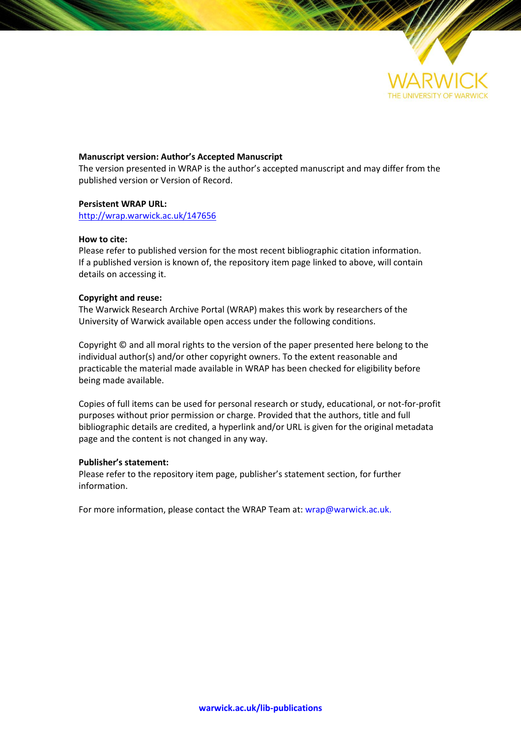

# **Manuscript version: Author's Accepted Manuscript**

The version presented in WRAP is the author's accepted manuscript and may differ from the published version or Version of Record.

# **Persistent WRAP URL:**

<http://wrap.warwick.ac.uk/147656>

# **How to cite:**

Please refer to published version for the most recent bibliographic citation information. If a published version is known of, the repository item page linked to above, will contain details on accessing it.

# **Copyright and reuse:**

The Warwick Research Archive Portal (WRAP) makes this work by researchers of the University of Warwick available open access under the following conditions.

Copyright © and all moral rights to the version of the paper presented here belong to the individual author(s) and/or other copyright owners. To the extent reasonable and practicable the material made available in WRAP has been checked for eligibility before being made available.

Copies of full items can be used for personal research or study, educational, or not-for-profit purposes without prior permission or charge. Provided that the authors, title and full bibliographic details are credited, a hyperlink and/or URL is given for the original metadata page and the content is not changed in any way.

# **Publisher's statement:**

Please refer to the repository item page, publisher's statement section, for further information.

For more information, please contact the WRAP Team at[: wrap@warwick.ac.uk.](mailto:wrap@warwick.ac.uk)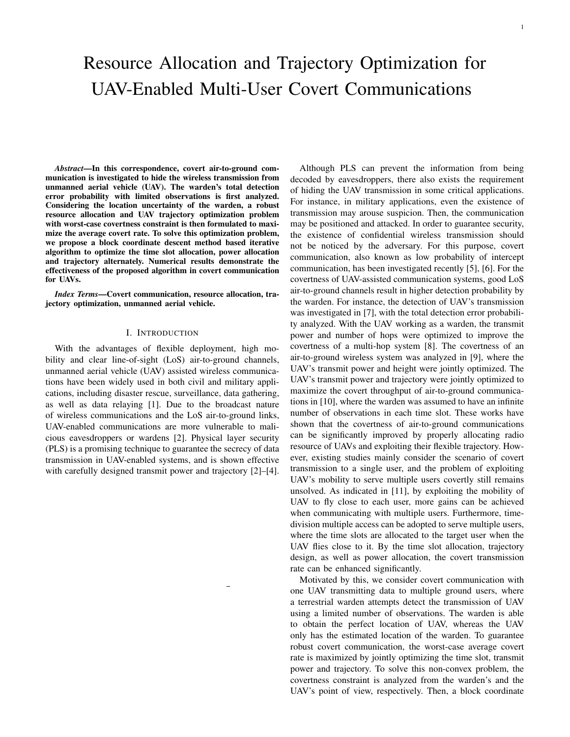# Resource Allocation and Trajectory Optimization for UAV-Enabled Multi-User Covert Communications

*Abstract*—In this correspondence, covert air-to-ground communication is investigated to hide the wireless transmission from unmanned aerial vehicle (UAV). The warden's total detection error probability with limited observations is first analyzed. Considering the location uncertainty of the warden, a robust resource allocation and UAV trajectory optimization problem with worst-case covertness constraint is then formulated to maximize the average covert rate. To solve this optimization problem, we propose a block coordinate descent method based iterative algorithm to optimize the time slot allocation, power allocation and trajectory alternately. Numerical results demonstrate the effectiveness of the proposed algorithm in covert communication for UAVs.

*Index Terms*—Covert communication, resource allocation, trajectory optimization, unmanned aerial vehicle.

## I. INTRODUCTION

With the advantages of flexible deployment, high mobility and clear line-of-sight (LoS) air-to-ground channels, unmanned aerial vehicle (UAV) assisted wireless communications have been widely used in both civil and military applications, including disaster rescue, surveillance, data gathering, as well as data relaying [1]. Due to the broadcast nature of wireless communications and the LoS air-to-ground links, UAV-enabled communications are more vulnerable to malicious eavesdroppers or wardens [2]. Physical layer security (PLS) is a promising technique to guarantee the secrecy of data transmission in UAV-enabled systems, and is shown effective with carefully designed transmit power and trajectory [2]–[4].

Although PLS can prevent the information from being decoded by eavesdroppers, there also exists the requirement of hiding the UAV transmission in some critical applications. For instance, in military applications, even the existence of transmission may arouse suspicion. Then, the communication may be positioned and attacked. In order to guarantee security, the existence of confidential wireless transmission should not be noticed by the adversary. For this purpose, covert communication, also known as low probability of intercept communication, has been investigated recently [5], [6]. For the covertness of UAV-assisted communication systems, good LoS air-to-ground channels result in higher detection probability by the warden. For instance, the detection of UAV's transmission was investigated in [7], with the total detection error probability analyzed. With the UAV working as a warden, the transmit power and number of hops were optimized to improve the covertness of a multi-hop system [8]. The covertness of an air-to-ground wireless system was analyzed in [9], where the UAV's transmit power and height were jointly optimized. The UAV's transmit power and trajectory were jointly optimized to maximize the covert throughput of air-to-ground communications in [10], where the warden was assumed to have an infinite number of observations in each time slot. These works have shown that the covertness of air-to-ground communications can be significantly improved by properly allocating radio resource of UAVs and exploiting their flexible trajectory. However, existing studies mainly consider the scenario of covert transmission to a single user, and the problem of exploiting UAV's mobility to serve multiple users covertly still remains unsolved. As indicated in [11], by exploiting the mobility of UAV to fly close to each user, more gains can be achieved when communicating with multiple users. Furthermore, timedivision multiple access can be adopted to serve multiple users, where the time slots are allocated to the target user when the UAV flies close to it. By the time slot allocation, trajectory design, as well as power allocation, the covert transmission rate can be enhanced significantly.

Motivated by this, we consider covert communication with one UAV transmitting data to multiple ground users, where a terrestrial warden attempts detect the transmission of UAV using a limited number of observations. The warden is able to obtain the perfect location of UAV, whereas the UAV only has the estimated location of the warden. To guarantee robust covert communication, the worst-case average covert rate is maximized by jointly optimizing the time slot, transmit power and trajectory. To solve this non-convex problem, the covertness constraint is analyzed from the warden's and the UAV's point of view, respectively. Then, a block coordinate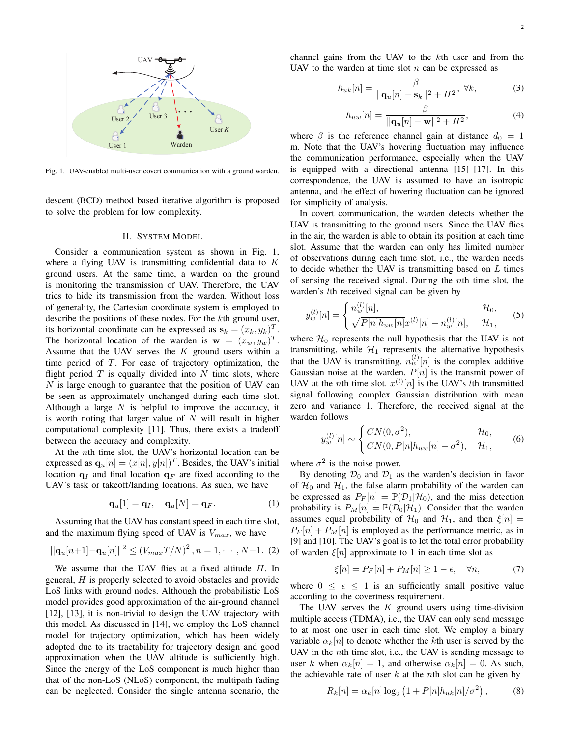

Fig. 1. UAV-enabled multi-user covert communication with a ground warden.

descent (BCD) method based iterative algorithm is proposed to solve the problem for low complexity.

### II. SYSTEM MODEL

Consider a communication system as shown in Fig. 1, where a flying UAV is transmitting confidential data to *K* ground users. At the same time, a warden on the ground is monitoring the transmission of UAV. Therefore, the UAV tries to hide its transmission from the warden. Without loss of generality, the Cartesian coordinate system is employed to describe the positions of these nodes. For the *k*th ground user, its horizontal coordinate can be expressed as  $\mathbf{s}_k = (x_k, y_k)^T$ . The horizontal location of the warden is  $\mathbf{w} = (x_w, y_w)^T$ . Assume that the UAV serves the *K* ground users within a time period of *T*. For ease of trajectory optimization, the flight period  $T$  is equally divided into  $N$  time slots, where *N* is large enough to guarantee that the position of UAV can be seen as approximately unchanged during each time slot. Although a large *N* is helpful to improve the accuracy, it is worth noting that larger value of *N* will result in higher computational complexity [11]. Thus, there exists a tradeoff between the accuracy and complexity.

At the *n*th time slot, the UAV's horizontal location can be expressed as  $\mathbf{q}_u[n] = (x[n], y[n])^T$ . Besides, the UAV's initial location  $q_I$  and final location  $q_F$  are fixed according to the UAV's task or takeoff/landing locations. As such, we have

$$
\mathbf{q}_u[1] = \mathbf{q}_I, \quad \mathbf{q}_u[N] = \mathbf{q}_F. \tag{1}
$$

Assuming that the UAV has constant speed in each time slot, and the maximum flying speed of UAV is *Vmax*, we have

$$
||\mathbf{q}_{u}[n+1] - \mathbf{q}_{u}[n]||^{2} \leq (V_{max}T/N)^{2}, n = 1, \cdots, N-1.
$$
 (2)

We assume that the UAV flies at a fixed altitude *H*. In general, *H* is properly selected to avoid obstacles and provide LoS links with ground nodes. Although the probabilistic LoS model provides good approximation of the air-ground channel [12], [13], it is non-trivial to design the UAV trajectory with this model. As discussed in [14], we employ the LoS channel model for trajectory optimization, which has been widely adopted due to its tractability for trajectory design and good approximation when the UAV altitude is sufficiently high. Since the energy of the LoS component is much higher than that of the non-LoS (NLoS) component, the multipath fading can be neglected. Consider the single antenna scenario, the channel gains from the UAV to the *k*th user and from the UAV to the warden at time slot *n* can be expressed as

$$
h_{uk}[n] = \frac{\beta}{||\mathbf{q}_u[n] - \mathbf{s}_k||^2 + H^2}, \ \forall k,
$$
\n(3)

$$
h_{uw}[n] = \frac{\beta}{||\mathbf{q}_u[n] - \mathbf{w}||^2 + H^2},\tag{4}
$$

where  $\beta$  is the reference channel gain at distance  $d_0 = 1$ m. Note that the UAV's hovering fluctuation may influence the communication performance, especially when the UAV is equipped with a directional antenna [15]–[17]. In this correspondence, the UAV is assumed to have an isotropic antenna, and the effect of hovering fluctuation can be ignored for simplicity of analysis.

In covert communication, the warden detects whether the UAV is transmitting to the ground users. Since the UAV flies in the air, the warden is able to obtain its position at each time slot. Assume that the warden can only has limited number of observations during each time slot, i.e., the warden needs to decide whether the UAV is transmitting based on *L* times of sensing the received signal. During the *n*th time slot, the warden's *l*th received signal can be given by

$$
y_w^{(l)}[n] = \begin{cases} n_w^{(l)}[n], & \mathcal{H}_0, \\ \sqrt{P[n]h_{uw}[n]}x^{(l)}[n] + n_w^{(l)}[n], & \mathcal{H}_1, \end{cases}
$$
(5)

where  $\mathcal{H}_0$  represents the null hypothesis that the UAV is not transmitting, while  $H_1$  represents the alternative hypothesis that the UAV is transmitting.  $n_w^{(l)}[n]$  is the complex additive Gaussian noise at the warden.  $P[n]$  is the transmit power of UAV at the *n*th time slot.  $x^{(l)}[n]$  is the UAV's *l*th transmitted signal following complex Gaussian distribution with mean zero and variance 1. Therefore, the received signal at the warden follows

$$
y_w^{(l)}[n] \sim \begin{cases} CN(0, \sigma^2), & \mathcal{H}_0, \\ CN(0, P[n]h_{uw}[n] + \sigma^2), & \mathcal{H}_1, \end{cases}
$$
 (6)

where  $\sigma^2$  is the noise power.

By denoting  $\mathcal{D}_0$  and  $\mathcal{D}_1$  as the warden's decision in favor of  $H_0$  and  $H_1$ , the false alarm probability of the warden can be expressed as  $P_F[n] = \mathbb{P}(\mathcal{D}_1|\mathcal{H}_0)$ , and the miss detection probability is  $P_M[n] = \mathbb{P}(\mathcal{D}_0|\mathcal{H}_1)$ . Consider that the warden assumes equal probability of  $\mathcal{H}_0$  and  $\mathcal{H}_1$ , and then  $\xi[n] =$  $P_F[n] + P_M[n]$  is employed as the performance metric, as in [9] and [10]. The UAV's goal is to let the total error probability of warden *ξ*[*n*] approximate to 1 in each time slot as

$$
\xi[n] = P_F[n] + P_M[n] \ge 1 - \epsilon, \quad \forall n,
$$
\n(7)

where  $0 \leq \epsilon \leq 1$  is an sufficiently small positive value according to the covertness requirement.

The UAV serves the *K* ground users using time-division multiple access (TDMA), i.e., the UAV can only send message to at most one user in each time slot. We employ a binary variable  $\alpha_k[n]$  to denote whether the *k*th user is served by the UAV in the *n*th time slot, i.e., the UAV is sending message to user *k* when  $\alpha_k[n] = 1$ , and otherwise  $\alpha_k[n] = 0$ . As such, the achievable rate of user *k* at the *n*th slot can be given by

$$
R_k[n] = \alpha_k[n] \log_2 (1 + P[n] h_{uk}[n] / \sigma^2), \quad (8)
$$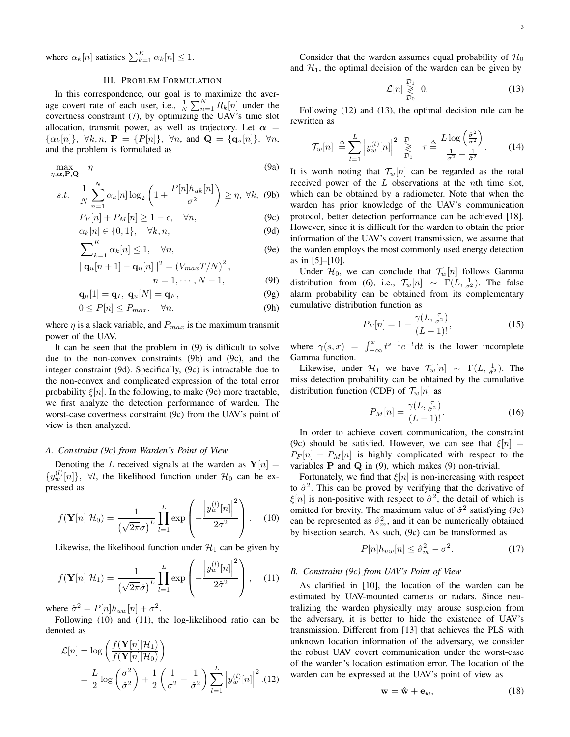where  $\alpha_k[n]$  satisfies  $\sum_{k=1}^K \alpha_k[n] \leq 1$ .

## III. PROBLEM FORMULATION

In this correspondence, our goal is to maximize the average covert rate of each user, i.e.,  $\frac{1}{N} \sum_{n=1}^{N} R_k[n]$  under the covertness constraint (7), by optimizing the UAV's time slot allocation, transmit power, as well as trajectory. Let  $\alpha$  =  $\{\alpha_k[n]\}, \forall k, n, \mathbf{P} = \{P[n]\}, \forall n, \text{ and } \mathbf{Q} = \{\mathbf{q}_u[n]\}, \forall n,$ and the problem is formulated as

$$
\max_{\eta, \alpha, \mathbf{P}, \mathbf{Q}} \eta
$$
\n(9a)

$$
s.t. \quad \frac{1}{N} \sum_{n=1}^{N} \alpha_k[n] \log_2\left(1 + \frac{P[n]h_{uk}[n]}{\sigma^2}\right) \ge \eta, \ \forall k, \ (9b)
$$

$$
P_F[n] + P_M[n] \ge 1 - \epsilon, \quad \forall n,
$$
\n(9c)

$$
\alpha_k[n] \in \{0, 1\}, \quad \forall k, n,
$$
\n(9d)

$$
\sum_{k=1}^{K} \alpha_k[n] \le 1, \quad \forall n,
$$
\n(9e)

$$
||\mathbf{q}_{u}[n+1] - \mathbf{q}_{u}[n]||^{2} = (V_{max}T/N)^{2},
$$
  
\n
$$
n = 1, \cdots, N - 1,
$$
 (9f)

$$
n = 1, \quad 1^1, \quad 1^2, \quad 1^3, \quad 1^4, \quad 1^5, \quad 1^6, \quad 1^7, \quad 1^8, \quad 1^9, \quad 1^8, \quad 1^9, \quad 1^9, \quad 1^8, \quad 1^9, \quad 1^9, \quad 1^9, \quad 1^9, \quad 1^9, \quad 1^9, \quad 1^9, \quad 1^9, \quad 1^9, \quad 1^9, \quad 1^9, \quad 1^9, \quad 1^9, \quad 1^9, \quad 1^9, \quad 1^9, \quad 1^9, \quad 1^9, \quad 1^9, \quad 1^9, \quad 1^9, \quad 1^9, \quad 1^9, \quad 1^9, \quad 1^9, \quad 1^9, \quad 1^9, \quad 1^9, \quad 1^9, \quad 1^9, \quad 1^9, \quad 1^9, \quad 1^9, \quad 1^9, \quad 1^9, \quad 1^9, \quad 1^9, \quad 1^9, \quad 1^9, \quad 1^9, \quad 1^9, \quad 1^9, \quad 1^9, \quad 1^9, \quad 1^9, \quad 1^9, \quad 1^9, \quad 1^9, \quad 1^9, \quad 1^9, \quad 1^9, \quad 1^9, \quad 1^9, \quad 1^9, \quad 1^9, \quad 1^9, \quad 1^9, \quad 1^9, \quad 1^9, \quad 1^9, \quad 1^9, \quad 1^9, \quad 1^9, \quad 1^9, \quad 1^9, \quad 1^9, \quad 1^9, \quad 1^9, \quad 1^9, \quad 1^9, \quad 1^9, \quad 1^9, \quad 1^9, \quad 1^9, \quad 1^9, \quad 1^9, \quad 1^9, \quad 1^9, \quad 1^9, \quad 1^9, \quad 1^9, \quad 1^9, \quad 1^9, \quad 1^9, \quad 1^9, \quad 1^9, \quad 1^9, \quad 1^9, \quad 1^9, \quad 1^9, \quad 1^9, \quad 1^9, \quad 1^9, \quad 1^9, \quad 1^
$$

$$
\mathbf{q}_u[1] = \mathbf{q}_I, \ \mathbf{q}_u[N] = \mathbf{q}_F,\tag{9g}
$$

$$
0 \le P[n] \le P_{max}, \quad \forall n,
$$
\n(9h)

where  $\eta$  is a slack variable, and  $P_{max}$  is the maximum transmit power of the UAV.

It can be seen that the problem in (9) is difficult to solve due to the non-convex constraints (9b) and (9c), and the integer constraint (9d). Specifically, (9c) is intractable due to the non-convex and complicated expression of the total error probability  $\xi[n]$ . In the following, to make (9c) more tractable, we first analyze the detection performance of warden. The worst-case covertness constraint (9c) from the UAV's point of view is then analyzed.

## *A. Constraint (9c) from Warden's Point of View*

Denoting the *L* received signals at the warden as  $Y[n] =$  ${y_w^{(l)}[n]}$ ,  $\forall l$ , the likelihood function under  $H_0$  can be expressed as

$$
f(\mathbf{Y}[n]|\mathcal{H}_0) = \frac{1}{\left(\sqrt{2\pi}\sigma\right)^L} \prod_{l=1}^L \exp\left(-\frac{\left|y_w^{(l)}[n]\right|^2}{2\sigma^2}\right). \quad (10)
$$

Likewise, the likelihood function under  $H_1$  can be given by

$$
f(\mathbf{Y}[n]|\mathcal{H}_1) = \frac{1}{\left(\sqrt{2\pi}\hat{\sigma}\right)^L} \prod_{l=1}^L \exp\left(-\frac{\left|y_w^{(l)}[n]\right|^2}{2\hat{\sigma}^2}\right),\quad(11)
$$

where  $\hat{\sigma}^2 = P[n]h_{uw}[n] + \sigma^2$ .

Following (10) and (11), the log-likelihood ratio can be denoted as

$$
\mathcal{L}[n] = \log \left( \frac{f(\mathbf{Y}[n]|\mathcal{H}_1)}{f(\mathbf{Y}[n]|\mathcal{H}_0)} \right)
$$
  
=  $\frac{L}{2} \log \left( \frac{\sigma^2}{\hat{\sigma}^2} \right) + \frac{1}{2} \left( \frac{1}{\sigma^2} - \frac{1}{\hat{\sigma}^2} \right) \sum_{l=1}^L \left| y_w^{(l)}[n] \right|^2$ . (12)

Consider that the warden assumes equal probability of  $\mathcal{H}_0$ and  $H_1$ , the optimal decision of the warden can be given by

$$
\mathcal{L}[n] \underset{\mathcal{D}_0}{\geq} 0. \tag{13}
$$

Following (12) and (13), the optimal decision rule can be rewritten as

$$
\mathcal{T}_w[n] \triangleq \sum_{l=1}^L \left| y_w^{(l)}[n] \right|^2 \geq \sum_{\mathcal{D}_0}^{\mathcal{D}_1} \tau \triangleq \frac{L \log \left( \frac{\hat{\sigma}^2}{\sigma^2} \right)}{\frac{1}{\sigma^2} - \frac{1}{\hat{\sigma}^2}}.
$$
 (14)

It is worth noting that  $\mathcal{T}_w[n]$  can be regarded as the total received power of the *L* observations at the *n*th time slot, which can be obtained by a radiometer. Note that when the warden has prior knowledge of the UAV's communication protocol, better detection performance can be achieved [18]. However, since it is difficult for the warden to obtain the prior information of the UAV's covert transmission, we assume that the warden employs the most commonly used energy detection as in [5]–[10].

Under  $\mathcal{H}_0$ , we can conclude that  $\mathcal{T}_w[n]$  follows Gamma distribution from (6), i.e.,  $\mathcal{T}_w[n] \sim \Gamma(L, \frac{1}{\sigma^2})$ . The false alarm probability can be obtained from its complementary cumulative distribution function as

$$
P_F[n] = 1 - \frac{\gamma(L, \frac{\tau}{\sigma^2})}{(L-1)!},
$$
\n(15)

where  $\gamma(s, x) = \int_{-\infty}^{x} t^{s-1} e^{-t} dt$  is the lower incomplete Gamma function.

Likewise, under  $\mathcal{H}_1$  we have  $\mathcal{T}_w[n] \sim \Gamma(L, \frac{1}{\hat{\sigma}^2})$ . The miss detection probability can be obtained by the cumulative distribution function (CDF) of  $\mathcal{T}_w[n]$  as

$$
P_M[n] = \frac{\gamma(L, \frac{\tau}{\hat{\sigma}^2})}{(L-1)!}.
$$
\n(16)

In order to achieve covert communication, the constraint (9c) should be satisfied. However, we can see that  $\xi[n]$  =  $P_F[n] + P_M[n]$  is highly complicated with respect to the variables **P** and **Q** in (9), which makes (9) non-trivial.

Fortunately, we find that *ξ*[*n*] is non-increasing with respect to  $\hat{\sigma}^2$ . This can be proved by verifying that the derivative of  $\xi[n]$  is non-positive with respect to  $\hat{\sigma}^2$ , the detail of which is omitted for brevity. The maximum value of  $\hat{\sigma}^2$  satisfying (9c) can be represented as  $\hat{\sigma}_m^2$ , and it can be numerically obtained by bisection search. As such, (9c) can be transformed as

$$
P[n]h_{uw}[n] \le \hat{\sigma}_m^2 - \sigma^2. \tag{17}
$$

#### *B. Constraint (9c) from UAV's Point of View*

As clarified in [10], the location of the warden can be estimated by UAV-mounted cameras or radars. Since neutralizing the warden physically may arouse suspicion from the adversary, it is better to hide the existence of UAV's transmission. Different from [13] that achieves the PLS with unknown location information of the adversary, we consider the robust UAV covert communication under the worst-case of the warden's location estimation error. The location of the warden can be expressed at the UAV's point of view as

$$
\mathbf{w} = \hat{\mathbf{w}} + \mathbf{e}_w, \tag{18}
$$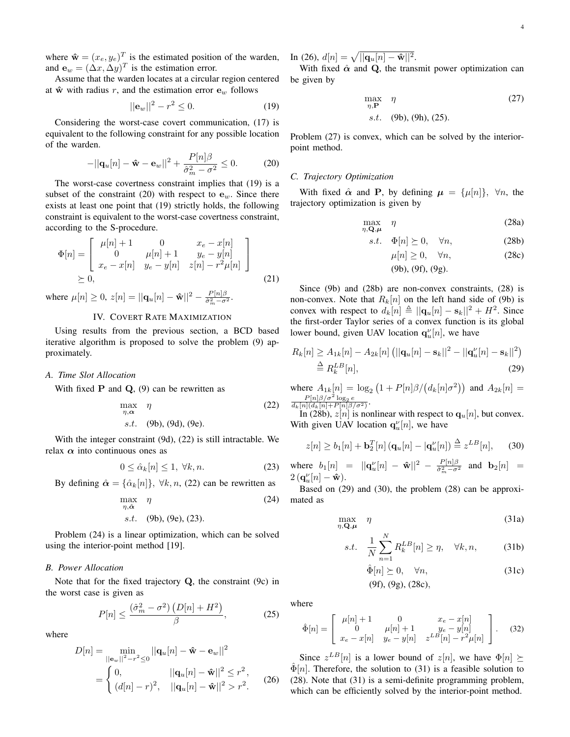where  $\hat{\mathbf{w}} = (x_e, y_e)^T$  is the estimated position of the warden, and  $\mathbf{e}_w = (\Delta x, \Delta y)^T$  is the estimation error.

Assume that the warden locates at a circular region centered at  $\hat{\mathbf{w}}$  with radius *r*, and the estimation error  $\mathbf{e}_w$  follows

$$
||\mathbf{e}_w||^2 - r^2 \le 0. \tag{19}
$$

Considering the worst-case covert communication, (17) is equivalent to the following constraint for any possible location of the warden.

$$
-||\mathbf{q}_u[n] - \mathbf{\hat{w}} - \mathbf{e}_w||^2 + \frac{P[n]\beta}{\hat{\sigma}_m^2 - \sigma^2} \le 0.
$$
 (20)

The worst-case covertness constraint implies that (19) is a subset of the constraint (20) with respect to  $e_w$ . Since there exists at least one point that (19) strictly holds, the following constraint is equivalent to the worst-case covertness constraint, according to the S-procedure.

$$
\Phi[n] = \begin{bmatrix} \mu[n] + 1 & 0 & x_e - x[n] \\ 0 & \mu[n] + 1 & y_e - y[n] \\ x_e - x[n] & y_e - y[n] & z[n] - r^2 \mu[n] \end{bmatrix}
$$
  
\ge 0, (21)

where  $\mu[n] \geq 0$ ,  $z[n] = ||\mathbf{q}_u[n] - \mathbf{\hat{w}}||^2 - \frac{P[n]\beta}{\hat{\sigma}^2 - \sigma^2}$  $rac{P[n]\beta}{\hat{\sigma}_m^2-\sigma^2}$ .

## IV. COVERT RATE MAXIMIZATION

Using results from the previous section, a BCD based iterative algorithm is proposed to solve the problem (9) approximately.

#### *A. Time Slot Allocation*

With fixed  $P$  and  $Q$ ,  $(9)$  can be rewritten as

$$
\max_{\eta, \alpha} \eta
$$
 (22)  
s.t. (9b), (9d), (9e).

With the integer constraint (9d), (22) is still intractable. We relax *α* into continuous ones as

$$
0 \le \hat{\alpha}_k[n] \le 1, \ \forall k, n. \tag{23}
$$

By defining  $\hat{\alpha} = {\hat{\alpha}_k[n]}$ ,  $\forall k, n$ , (22) can be rewritten as

$$
\max_{\eta, \hat{\alpha}} \eta \tag{24}
$$
  
s.t. (9b), (9e), (23).

Problem (24) is a linear optimization, which can be solved using the interior-point method [19].

## *B. Power Allocation*

Note that for the fixed trajectory **Q**, the constraint (9c) in the worst case is given as

$$
P[n] \le \frac{\left(\hat{\sigma}_m^2 - \sigma^2\right)\left(D[n] + H^2\right)}{\beta},\tag{25}
$$

where

$$
D[n] = \min_{\|\mathbf{e}_w\|^2 - r^2 \le 0} ||\mathbf{q}_u[n] - \hat{\mathbf{w}} - \mathbf{e}_w||^2
$$
  
= 
$$
\begin{cases} 0, & ||\mathbf{q}_u[n] - \hat{\mathbf{w}}||^2 \le r^2, \\ (d[n] - r)^2, & ||\mathbf{q}_u[n] - \hat{\mathbf{w}}||^2 > r^2. \end{cases}
$$
 (26)

 $\text{In (26), } d[n] = \sqrt{||{\bf q}_u[n] - \hat{\bf w}||^2}.$ 

With fixed  $\hat{\alpha}$  and Q, the transmit power optimization can be given by

$$
\max_{\eta, \mathbf{P}} \eta \tag{27}
$$
  
s.t. (9b), (9h), (25).

Problem (27) is convex, which can be solved by the interiorpoint method.

#### *C. Trajectory Optimization*

With fixed  $\hat{\alpha}$  and **P**, by defining  $\mu = {\mu[n]}$ ,  $\forall n$ , the trajectory optimization is given by

$$
\max_{\eta, \mathbf{Q}, \boldsymbol{\mu}} \quad \eta \tag{28a}
$$

$$
s.t. \quad \Phi[n] \succeq 0, \quad \forall n,
$$
\n<sup>(28b)</sup>

$$
\mu[n] \ge 0, \quad \forall n,
$$
\n(28c)

(9b), (9f), (9g)*.*

Since (9b) and (28b) are non-convex constraints, (28) is non-convex. Note that  $R_k[n]$  on the left hand side of (9b) is convex with respect to  $d_k[n] \triangleq ||\mathbf{q}_u[n] - \mathbf{s}_k||^2 + H^2$ . Since the first-order Taylor series of a convex function is its global lower bound, given UAV location  $\mathbf{q}_{u}^{\nu}[n]$ , we have

$$
R_k[n] \ge A_{1k}[n] - A_{2k}[n] (||\mathbf{q}_u[n] - \mathbf{s}_k||^2 - ||\mathbf{q}_u^{\nu}[n] - \mathbf{s}_k||^2)
$$
  
\n
$$
\stackrel{\Delta}{=} R_k^{LB}[n],
$$
\n(29)

 $\text{where } A_{1k}[n] = \log_2(1 + P[n]\beta/(d_k[n]\sigma^2))$  and  $A_{2k}[n] =$  $\frac{P[n]\beta/\sigma^2 \log_2 e}{d_k[n](d_k[n]+P[n]\beta/\sigma^2)}$ .

In (28b),  $z[n]$  is nonlinear with respect to  $q_u[n]$ , but convex. With given UAV location  $\mathbf{q}_{u}^{\nu}[n]$ , we have

$$
z[n] \ge b_1[n] + \mathbf{b}_2^T[n] \left( \mathbf{q}_u[n] - |\mathbf{q}_u^\nu[n] \right) \stackrel{\Delta}{=} z^{LB}[n], \qquad (30)
$$

where  $b_1[n] = ||\mathbf{q}_u^{\nu}[n] - \hat{\mathbf{w}}||^2 - \frac{P[n]\beta}{\hat{\sigma}^2 - \sigma^2}$  $\frac{P[n]\rho}{\hat{\sigma}_m^2 - \sigma^2}$  and  $\mathbf{b}_2[n]$  =  $2(\mathbf{q}_u^{\nu}[n] - \mathbf{\hat{w}}).$ 

Based on (29) and (30), the problem (28) can be approximated as

$$
\max_{\eta, \mathbf{Q}, \boldsymbol{\mu}} \quad \eta \tag{31a}
$$

$$
s.t. \quad \frac{1}{N} \sum_{n=1}^{N} R_k^{LB}[n] \ge \eta, \quad \forall k, n,
$$
\n
$$
(31b)
$$

$$
\hat{\Phi}[n] \succeq 0, \quad \forall n,
$$
\n(31c)\n  
\n(9f), (9g), (28c),\n

where

$$
\hat{\Phi}[n] = \begin{bmatrix} \mu[n] + 1 & 0 & x_e - x[n] \\ 0 & \mu[n] + 1 & y_e - y[n] \\ x_e - x[n] & y_e - y[n] & z^{LB}[n] - r^2 \mu[n] \end{bmatrix} . \tag{32}
$$

Since  $z^{LB}[n]$  is a lower bound of  $z[n]$ , we have  $\Phi[n] \succeq$  $\Phi[n]$ . Therefore, the solution to (31) is a feasible solution to (28). Note that (31) is a semi-definite programming problem, which can be efficiently solved by the interior-point method.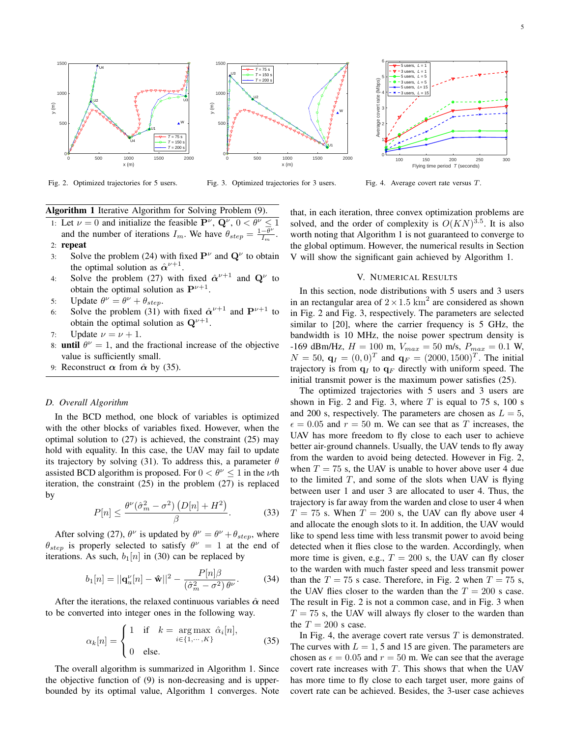

Fig. 2. Optimized trajectories for 5 users.



Fig. 3. Optimized trajectories for 3 users.

100 150 200 250 300 Flying time period  $T$  (seconds) 0 1⊉ 2 F 3 F 4 H 5 H 6 г. Average covert rate (Mbps)  $5$  users,  $L = 1$  $3$  users,  $L = 1$  $5$  users,  $L = 5$  $3$  users,  $L = 5$  $5$  users,  $L=15$  $3$  users,  $L = 15$ 

Fig. 4. Average covert rate versus *T*.

Algorithm 1 Iterative Algorithm for Solving Problem (9).

- 1: Let  $\nu = 0$  and initialize the feasible  $\mathbf{P}^{\nu}$ ,  $\mathbf{Q}^{\nu}$ ,  $0 < \theta^{\nu} \le 1$ and the number of iterations  $I_m$ . We have  $\theta_{step} = \frac{1-\theta^{\nu}}{I_m}$  $\frac{-\theta^{\nu}}{I_m}$ . 2: repeat
- 3: Solve the problem (24) with fixed  $P^{\nu}$  and  $Q^{\nu}$  to obtain the optimal solution as  $\hat{\alpha}^{\nu+1}$ .
- 4: Solve the problem (27) with fixed  $\hat{\alpha}^{\nu+1}$  and  $\mathbf{Q}^{\nu}$  to obtain the optimal solution as  $\mathbf{P}^{\nu+1}$ .
- 5: Update  $\theta^{\nu} = \theta^{\nu} + \theta_{step}$ .
- 6: Solve the problem (31) with fixed  $\hat{\alpha}^{\nu+1}$  and  $P^{\nu+1}$  to obtain the optimal solution as  $Q^{\nu+1}$ .
- 7: Update  $\nu = \nu + 1$ .
- 8: **until**  $\theta^{\nu} = 1$ , and the fractional increase of the objective value is sufficiently small.
- 9: Reconstruct  $\alpha$  from  $\hat{\alpha}$  by (35).

#### *D. Overall Algorithm*

In the BCD method, one block of variables is optimized with the other blocks of variables fixed. However, when the optimal solution to (27) is achieved, the constraint (25) may hold with equality. In this case, the UAV may fail to update its trajectory by solving (31). To address this, a parameter *θ* assisted BCD algorithm is proposed. For  $0 < \theta^{\nu} \le 1$  in the  $\nu$ th iteration, the constraint (25) in the problem (27) is replaced by

$$
P[n] \le \frac{\theta^{\nu}(\hat{\sigma}_m^2 - \sigma^2) \left( D[n] + H^2 \right)}{\beta}.
$$
 (33)

After solving (27),  $\theta^{\nu}$  is updated by  $\theta^{\nu} = \theta^{\nu} + \theta_{step}$ , where  $\theta_{step}$  is properly selected to satisfy  $\theta^{\nu} = 1$  at the end of iterations. As such,  $b_1[n]$  in (30) can be replaced by

$$
b_1[n] = ||\mathbf{q}_u^{\nu}[n] - \mathbf{\hat{w}}||^2 - \frac{P[n]\beta}{(\hat{\sigma}_m^2 - \sigma^2)\,\theta^{\nu}}.\tag{34}
$$

After the iterations, the relaxed continuous variables  $\hat{\alpha}$  need to be converted into integer ones in the following way.

$$
\alpha_k[n] = \begin{cases} 1 & \text{if } k = \arg\max_{i \in \{1, \cdots, K\}} \hat{\alpha}_i[n], \\ 0 & \text{else.} \end{cases} \tag{35}
$$

The overall algorithm is summarized in Algorithm 1. Since the objective function of (9) is non-decreasing and is upperbounded by its optimal value, Algorithm 1 converges. Note that, in each iteration, three convex optimization problems are solved, and the order of complexity is  $O(KN)^{3.5}$ . It is also worth noting that Algorithm 1 is not guaranteed to converge to the global optimum. However, the numerical results in Section V will show the significant gain achieved by Algorithm 1.

#### V. NUMERICAL RESULTS

In this section, node distributions with 5 users and 3 users in an rectangular area of  $2 \times 1.5$  km<sup>2</sup> are considered as shown in Fig. 2 and Fig. 3, respectively. The parameters are selected similar to [20], where the carrier frequency is 5 GHz, the bandwidth is 10 MHz, the noise power spectrum density is  $-169$  dBm/Hz,  $H = 100$  m,  $V_{max} = 50$  m/s,  $P_{max} = 0.1$  W,  $N = 50$ ,  $q_I = (0, 0)^T$  and  $q_F = (2000, 1500)^T$ . The initial trajectory is from  $q_I$  to  $q_F$  directly with uniform speed. The initial transmit power is the maximum power satisfies (25).

The optimized trajectories with 5 users and 3 users are shown in Fig. 2 and Fig. 3, where  $T$  is equal to 75 s, 100 s and 200 s, respectively. The parameters are chosen as  $L = 5$ ,  $\epsilon = 0.05$  and  $r = 50$  m. We can see that as *T* increases, the UAV has more freedom to fly close to each user to achieve better air-ground channels. Usually, the UAV tends to fly away from the warden to avoid being detected. However in Fig. 2, when  $T = 75$  s, the UAV is unable to hover above user 4 due to the limited *T*, and some of the slots when UAV is flying between user 1 and user 3 are allocated to user 4. Thus, the trajectory is far away from the warden and close to user 4 when  $T = 75$  s. When  $T = 200$  s, the UAV can fly above user 4 and allocate the enough slots to it. In addition, the UAV would like to spend less time with less transmit power to avoid being detected when it flies close to the warden. Accordingly, when more time is given, e.g.,  $T = 200$  s, the UAV can fly closer to the warden with much faster speed and less transmit power than the  $T = 75$  s case. Therefore, in Fig. 2 when  $T = 75$  s, the UAV flies closer to the warden than the  $T = 200$  s case. The result in Fig. 2 is not a common case, and in Fig. 3 when  $T = 75$  s, the UAV will always fly closer to the warden than the  $T = 200$  s case.

In Fig. 4, the average covert rate versus *T* is demonstrated. The curves with  $L = 1$ , 5 and 15 are given. The parameters are chosen as  $\epsilon = 0.05$  and  $r = 50$  m. We can see that the average covert rate increases with *T*. This shows that when the UAV has more time to fly close to each target user, more gains of covert rate can be achieved. Besides, the 3-user case achieves